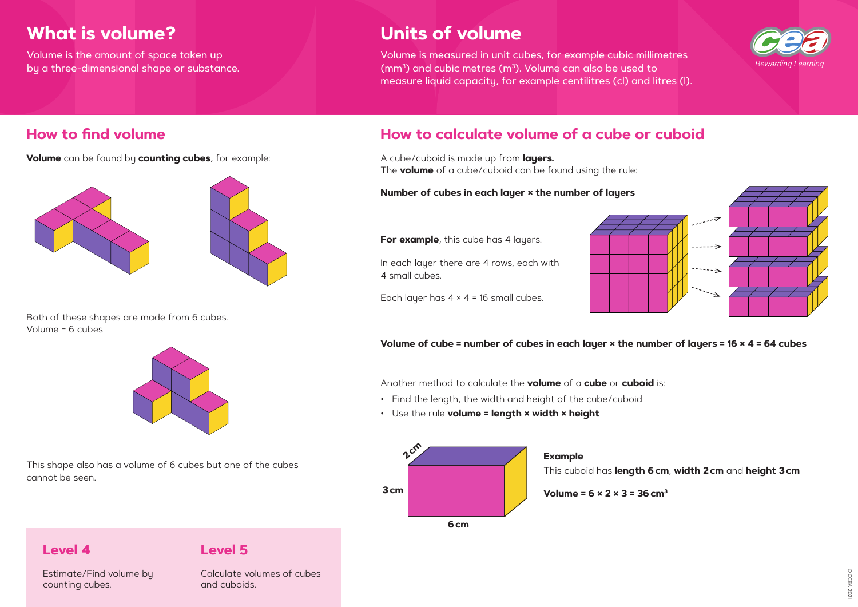**Volume** can be found by **counting cubes**, for example:



# **How to find volume How to calculate volume of a cube or cuboid**

A cube/cuboid is made up from **layers.**  The **volume** of a cube/cuboid can be found using the rule:

#### **Number of cubes in each layer × the number of layers**

**For example**, this cube has 4 layers.

### **Volume of cube = number of cubes in each layer × the number of layers = 16 × 4 = 64 cubes**

In each layer there are 4 rows, each with 4 small cubes.



Each layer has  $4 \times 4 = 16$  small cubes.

Both of these shapes are made from 6 cubes. Volume = 6 cubes



This shape also has a volume of 6 cubes but one of the cubes cannot be seen.

Another method to calculate the **volume** of a **cube** or **cuboid** is:

- Find the length, the width and height of the cube/cuboid
- Use the rule **volume = length × width × height**

# **What is volume?**

Volume is the amount of space taken up by a three-dimensional shape or substance.

# **Units of volume**

Volume is measured in unit cubes, for example cubic millimetres ( $mm<sup>3</sup>$ ) and cubic metres ( $m<sup>3</sup>$ ). Volume can also be used to measure liquid capacity, for example centilitres (cl) and litres (l).

### **Level 4**

Estimate/Find volume by counting cubes.

### **Level 5**

Calculate volumes of cubes and cuboids.





# This cuboid has **length 6cm**, **width 2cm** and **height 3cm**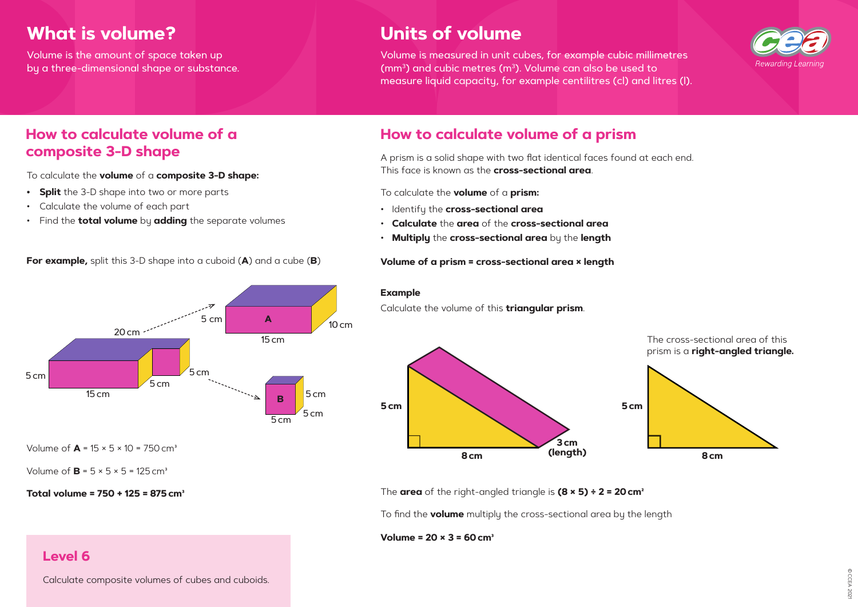© CCEA 202 © CCEA 2021

# **composite 3-D shape**

To calculate the **volume** of a **composite 3-D shape:**

- **• Split** the 3-D shape into two or more parts
- Calculate the volume of each part
- Find the **total volume** by **adding** the separate volumes

A prism is a solid shape with two flat identical faces found at each end. This face is known as the **cross-sectional area**.

To calculate the **volume** of a **prism:**

- Identify the **cross-sectional area**
- **Calculate** the **area** of the **cross-sectional area**
- **Multiply** the **cross-sectional area** by the **length**

**Volume of a prism = cross-sectional area × length**

The **area** of the right-angled triangle is **(8 × 5) ÷ 2 = 20cm²**

To find the **volume** multiply the cross-sectional area by the length

#### **Volume = 20 × 3 = 60cm³**



**For example,** split this 3-D shape into a cuboid (**A**) and a cube (**B**)

**Total volume = 750 + 125 = 875cm³**

#### **Example**

Calculate the volume of this **triangular prism**.



Volume of  $A = 15 \times 5 \times 10 = 750$  cm<sup>3</sup>

Volume of  $\mathbf{B} = 5 \times 5 \times 5 = 125 \text{ cm}^3$ 

The cross-sectional area of this prism is a **right-angled triangle.**

## **Level 6**

Calculate composite volumes of cubes and cuboids.

# **How to calculate volume of a how to calculate volume of a prism**

# **What is volume?**

Volume is the amount of space taken up by a three-dimensional shape or substance.



# **Units of volume**

Volume is measured in unit cubes, for example cubic millimetres ( $mm<sup>3</sup>$ ) and cubic metres ( $m<sup>3</sup>$ ). Volume can also be used to measure liquid capacity, for example centilitres (cl) and litres (l).